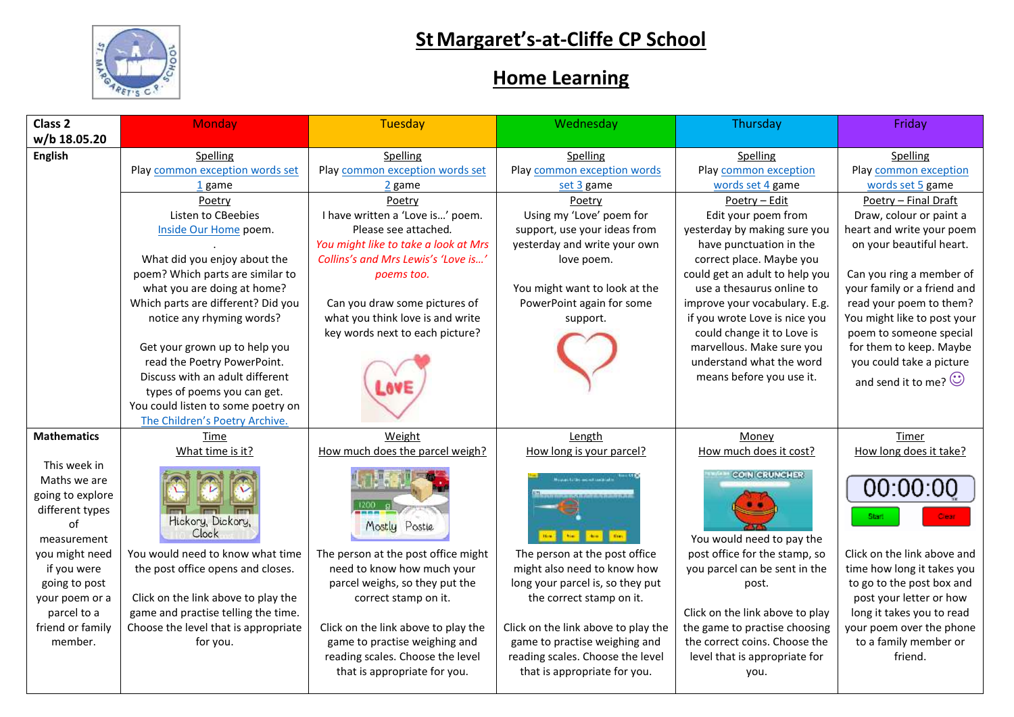

## **StMargaret's-at-Cliffe CP School**

## **Home Learning**

| Class <sub>2</sub> | <b>Monday</b>                                                | <b>Tuesday</b>                                                    | Wednesday                                                         | Thursday                                                | Friday                                              |
|--------------------|--------------------------------------------------------------|-------------------------------------------------------------------|-------------------------------------------------------------------|---------------------------------------------------------|-----------------------------------------------------|
| w/b 18.05.20       |                                                              |                                                                   |                                                                   |                                                         |                                                     |
| <b>English</b>     | Spelling                                                     | Spelling                                                          | Spelling                                                          | Spelling                                                | Spelling                                            |
|                    | Play common exception words set                              | Play common exception words set                                   | Play common exception words                                       | Play common exception                                   | Play common exception                               |
|                    | 1 game                                                       | 2 game                                                            | set 3 game                                                        | words set 4 game                                        | words set 5 game                                    |
|                    | Poetry                                                       | Poetry                                                            | Poetry                                                            | Poetry - Edit                                           | Poetry - Final Draft                                |
|                    | Listen to CBeebies                                           | I have written a 'Love is' poem.                                  | Using my 'Love' poem for                                          | Edit your poem from                                     | Draw, colour or paint a                             |
|                    | Inside Our Home poem.                                        | Please see attached.                                              | support, use your ideas from                                      | yesterday by making sure you                            | heart and write your poem                           |
|                    |                                                              | You might like to take a look at Mrs                              | yesterday and write your own                                      | have punctuation in the                                 | on your beautiful heart.                            |
|                    | What did you enjoy about the                                 | Collins's and Mrs Lewis's 'Love is'                               | love poem.                                                        | correct place. Maybe you                                |                                                     |
|                    | poem? Which parts are similar to                             | poems too.                                                        |                                                                   | could get an adult to help you                          | Can you ring a member of                            |
|                    | what you are doing at home?                                  |                                                                   | You might want to look at the                                     | use a thesaurus online to                               | your family or a friend and                         |
|                    | Which parts are different? Did you                           | Can you draw some pictures of                                     | PowerPoint again for some                                         | improve your vocabulary. E.g.                           | read your poem to them?                             |
|                    | notice any rhyming words?                                    | what you think love is and write                                  | support.                                                          | if you wrote Love is nice you                           | You might like to post your                         |
|                    |                                                              | key words next to each picture?                                   |                                                                   | could change it to Love is<br>marvellous. Make sure you | poem to someone special                             |
|                    | Get your grown up to help you<br>read the Poetry PowerPoint. |                                                                   |                                                                   | understand what the word                                | for them to keep. Maybe<br>you could take a picture |
|                    | Discuss with an adult different                              |                                                                   |                                                                   | means before you use it.                                |                                                     |
|                    | types of poems you can get.                                  |                                                                   |                                                                   |                                                         | and send it to me? $\odot$                          |
|                    | You could listen to some poetry on                           |                                                                   |                                                                   |                                                         |                                                     |
|                    | The Children's Poetry Archive.                               |                                                                   |                                                                   |                                                         |                                                     |
| <b>Mathematics</b> | Time                                                         | Weight                                                            | Length                                                            | Money                                                   | Timer                                               |
|                    | What time is it?                                             | How much does the parcel weigh?                                   | How long is your parcel?                                          | How much does it cost?                                  | How long does it take?                              |
| This week in       |                                                              |                                                                   |                                                                   |                                                         |                                                     |
| Maths we are       |                                                              |                                                                   | <b>Council of the month could be a</b>                            | <b>COIN CRUNCHER</b>                                    |                                                     |
| going to explore   |                                                              |                                                                   | <b>SARAKASARAS</b>                                                |                                                         | 00:00:                                              |
| different types    |                                                              |                                                                   |                                                                   |                                                         | Start                                               |
| of                 | Hickory, Dickory,<br>Clock                                   | Mostly Postle                                                     |                                                                   |                                                         |                                                     |
| measurement        |                                                              |                                                                   | $\mathbf{h}$<br>dem.<br>the.                                      | You would need to pay the                               |                                                     |
| you might need     | You would need to know what time                             | The person at the post office might                               | The person at the post office                                     | post office for the stamp, so                           | Click on the link above and                         |
| if you were        | the post office opens and closes.                            | need to know how much your                                        | might also need to know how                                       | you parcel can be sent in the                           | time how long it takes you                          |
| going to post      |                                                              | parcel weighs, so they put the                                    | long your parcel is, so they put                                  | post.                                                   | to go to the post box and                           |
| your poem or a     | Click on the link above to play the                          | correct stamp on it.                                              | the correct stamp on it.                                          |                                                         | post your letter or how                             |
| parcel to a        | game and practise telling the time.                          |                                                                   |                                                                   | Click on the link above to play                         | long it takes you to read                           |
| friend or family   | Choose the level that is appropriate                         | Click on the link above to play the                               | Click on the link above to play the                               | the game to practise choosing                           | your poem over the phone                            |
| member.            | for you.                                                     | game to practise weighing and<br>reading scales. Choose the level | game to practise weighing and<br>reading scales. Choose the level | the correct coins. Choose the                           | to a family member or<br>friend.                    |
|                    |                                                              | that is appropriate for you.                                      | that is appropriate for you.                                      | level that is appropriate for<br>you.                   |                                                     |
|                    |                                                              |                                                                   |                                                                   |                                                         |                                                     |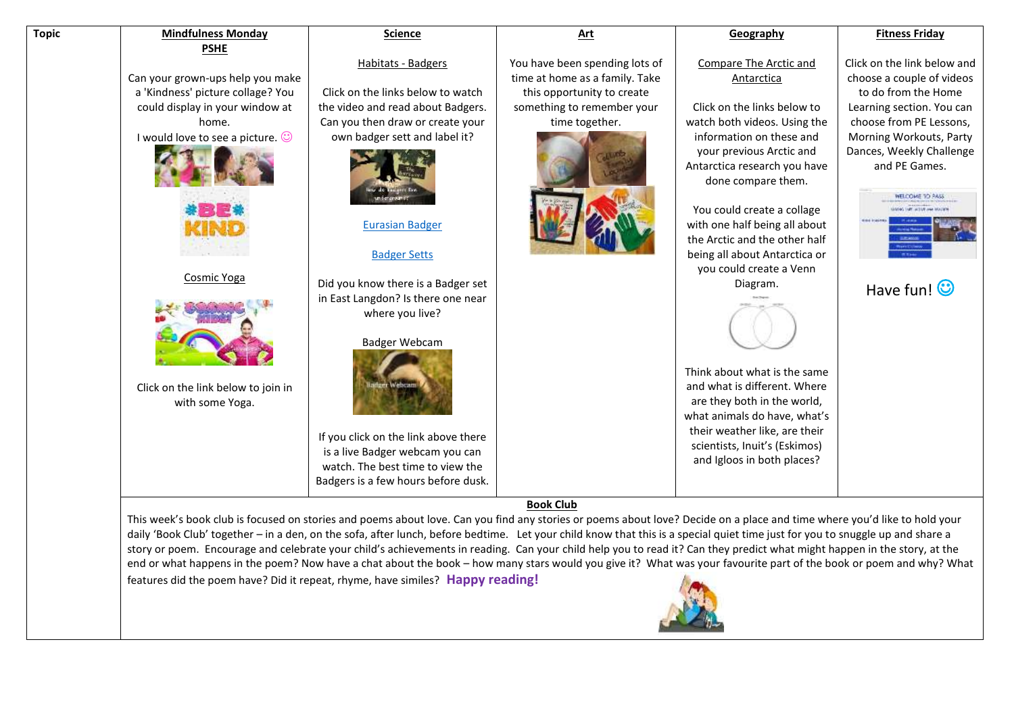